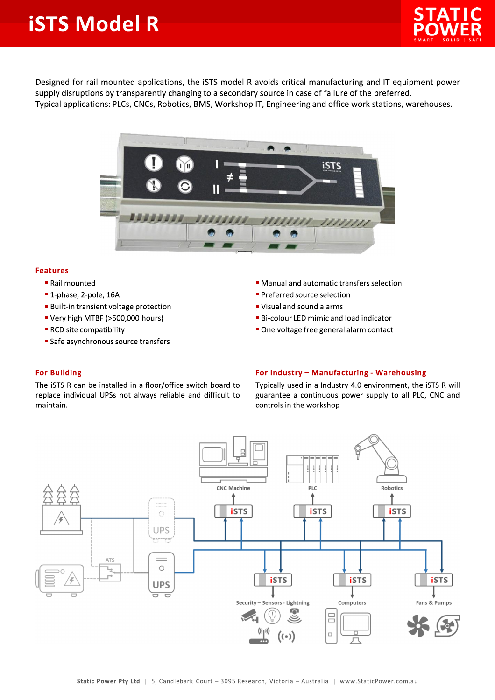## **iSTS Model R**



Designed for rail mounted applications, the iSTS model R avoids critical manufacturing and IT equipment power supply disruptions by transparently changing to a secondary source in case of failure of the preferred. Typical applications: PLCs, CNCs, Robotics, BMS, Workshop IT, Engineering and office work stations, warehouses.



## **Features**

- Rail mounted
- **1-phase, 2-pole, 16A**
- **Built-in transient voltage protection**
- " Very high MTBF (>500,000 hours)
- RCD site compatibility
- **Safe asynchronous source transfers**
- Manual and automatic transfers selection
- Preferred source selection
- . Visual and sound alarms
- **Bi-colour LED mimic and load indicator**
- One voltage free general alarm contact

## **For Building**

The iSTS R can be installed in a floor/office switch board to replace individual UPSs not always reliable and difficult to maintain.

## For Industry - Manufacturing - Warehousing

Typically used in a Industry 4.0 environment, the iSTS R will guarantee a continuous power supply to all PLC, CNC and controls in the workshop